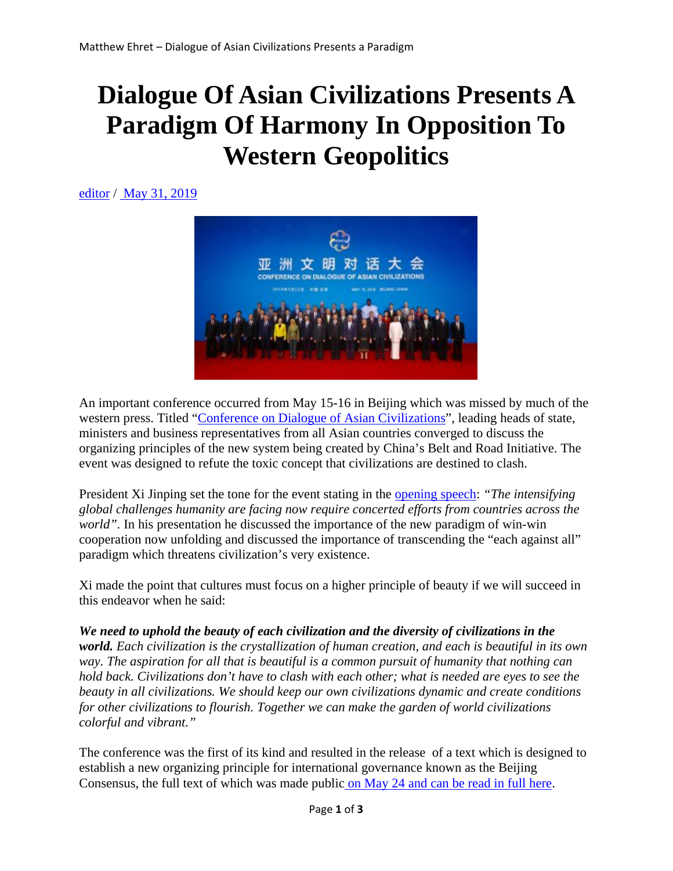## **Dialogue Of Asian Civilizations Presents A Paradigm Of Harmony In Opposition To Western Geopolitics**

editor / May 31, 2019



An important conference occurred from May 15-16 in Beijing which was missed by much of the western press. Titled "Conference on Dialogue of Asian Civilizations", leading heads of state, ministers and business representatives from all Asian countries converged to discuss the organizing principles of the new system being created by China's Belt and Road Initiative. The event was designed to refute the toxic concept that civilizations are destined to clash.

President Xi Jinping set the tone for the event stating in the opening speech: *"The intensifying global challenges humanity are facing now require concerted efforts from countries across the world".* In his presentation he discussed the importance of the new paradigm of win-win cooperation now unfolding and discussed the importance of transcending the "each against all" paradigm which threatens civilization's very existence.

Xi made the point that cultures must focus on a higher principle of beauty if we will succeed in this endeavor when he said:

*We need to uphold the beauty of each civilization and the diversity of civilizations in the world. Each civilization is the crystallization of human creation, and each is beautiful in its own way. The aspiration for all that is beautiful is a common pursuit of humanity that nothing can hold back. Civilizations don't have to clash with each other; what is needed are eyes to see the beauty in all civilizations. We should keep our own civilizations dynamic and create conditions for other civilizations to flourish. Together we can make the garden of world civilizations colorful and vibrant."*

The conference was the first of its kind and resulted in the release of a text which is designed to establish a new organizing principle for international governance known as the Beijing Consensus, the full text of which was made public on May 24 and can be read in full here.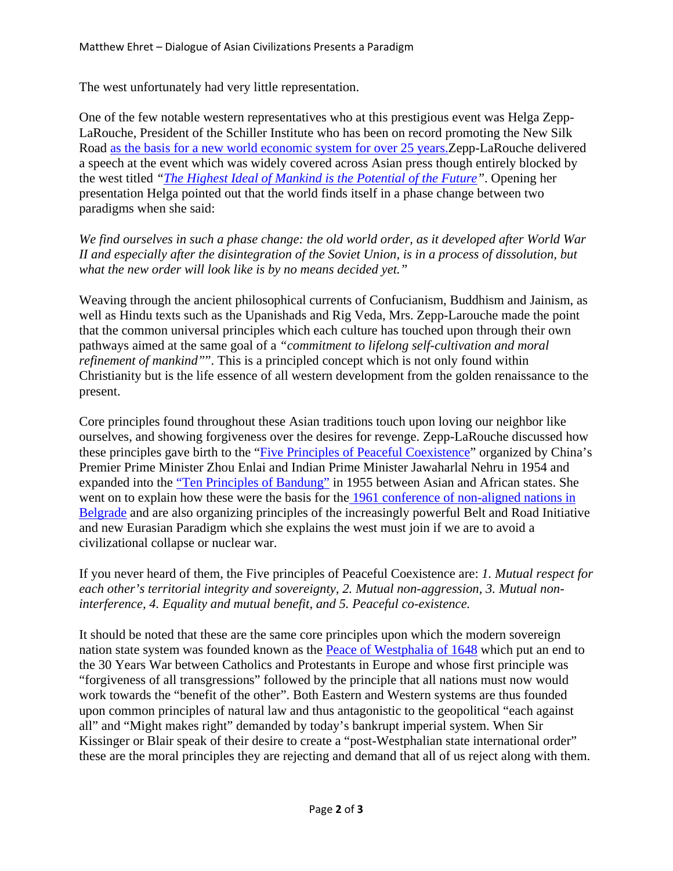The west unfortunately had very little representation.

One of the few notable western representatives who at this prestigious event was Helga Zepp-LaRouche, President of the Schiller Institute who has been on record promoting the New Silk Road as the basis for a new world economic system for over 25 years.Zepp-LaRouche delivered a speech at the event which was widely covered across Asian press though entirely blocked by the west titled *"The Highest Ideal of Mankind is the Potential of the Future"*. Opening her presentation Helga pointed out that the world finds itself in a phase change between two paradigms when she said:

*We find ourselves in such a phase change: the old world order, as it developed after World War II and especially after the disintegration of the Soviet Union, is in a process of dissolution, but what the new order will look like is by no means decided yet."*

Weaving through the ancient philosophical currents of Confucianism, Buddhism and Jainism, as well as Hindu texts such as the Upanishads and Rig Veda, Mrs. Zepp-Larouche made the point that the common universal principles which each culture has touched upon through their own pathways aimed at the same goal of a *"commitment to lifelong self-cultivation and moral refinement of mankind"*". This is a principled concept which is not only found within Christianity but is the life essence of all western development from the golden renaissance to the present.

Core principles found throughout these Asian traditions touch upon loving our neighbor like ourselves, and showing forgiveness over the desires for revenge. Zepp-LaRouche discussed how these principles gave birth to the "Five Principles of Peaceful Coexistence" organized by China's Premier Prime Minister Zhou Enlai and Indian Prime Minister Jawaharlal Nehru in 1954 and expanded into the "Ten Principles of Bandung" in 1955 between Asian and African states. She went on to explain how these were the basis for the 1961 conference of non-aligned nations in Belgrade and are also organizing principles of the increasingly powerful Belt and Road Initiative and new Eurasian Paradigm which she explains the west must join if we are to avoid a civilizational collapse or nuclear war.

If you never heard of them, the Five principles of Peaceful Coexistence are: *1. Mutual respect for each other's territorial integrity and sovereignty, 2. Mutual non-aggression, 3. Mutual noninterference, 4. Equality and mutual benefit, and 5. Peaceful co-existence.*

It should be noted that these are the same core principles upon which the modern sovereign nation state system was founded known as the Peace of Westphalia of 1648 which put an end to the 30 Years War between Catholics and Protestants in Europe and whose first principle was "forgiveness of all transgressions" followed by the principle that all nations must now would work towards the "benefit of the other". Both Eastern and Western systems are thus founded upon common principles of natural law and thus antagonistic to the geopolitical "each against all" and "Might makes right" demanded by today's bankrupt imperial system. When Sir Kissinger or Blair speak of their desire to create a "post-Westphalian state international order" these are the moral principles they are rejecting and demand that all of us reject along with them.